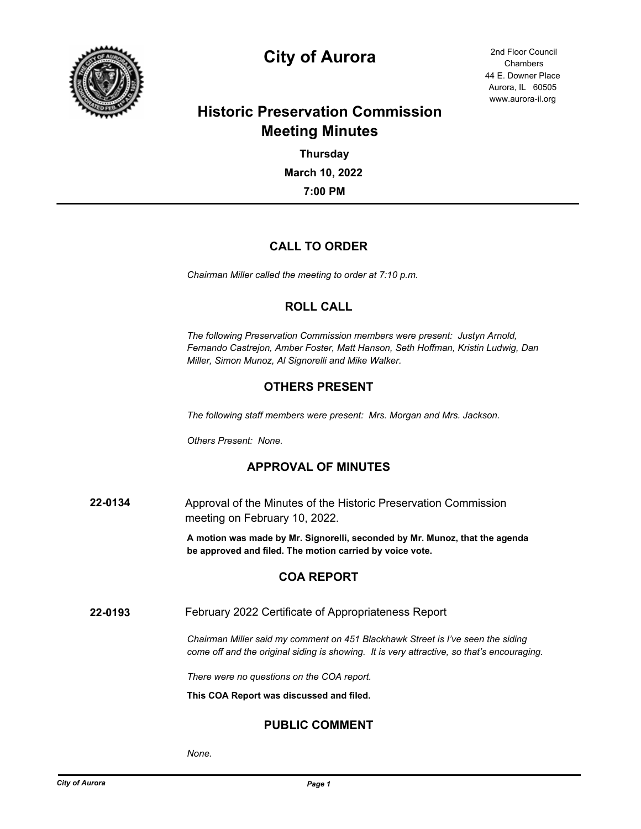

# **City of Aurora** 2nd Floor Council

44 E. Downer Place Aurora, IL 60505 www.aurora-il.org Chambers

## **Historic Preservation Commission Meeting Minutes**

**7:00 PM March 10, 2022 Thursday**

## **CALL TO ORDER**

*Chairman Miller called the meeting to order at 7:10 p.m.*

## **ROLL CALL**

*The following Preservation Commission members were present: Justyn Arnold, Fernando Castrejon, Amber Foster, Matt Hanson, Seth Hoffman, Kristin Ludwig, Dan Miller, Simon Munoz, Al Signorelli and Mike Walker.*

## **OTHERS PRESENT**

*The following staff members were present: Mrs. Morgan and Mrs. Jackson.*

*Others Present: None.*

## **APPROVAL OF MINUTES**

**22-0134** Approval of the Minutes of the Historic Preservation Commission meeting on February 10, 2022.

> **A motion was made by Mr. Signorelli, seconded by Mr. Munoz, that the agenda be approved and filed. The motion carried by voice vote.**

## **COA REPORT**

**22-0193** February 2022 Certificate of Appropriateness Report

*Chairman Miller said my comment on 451 Blackhawk Street is I've seen the siding come off and the original siding is showing. It is very attractive, so that's encouraging.*

*There were no questions on the COA report.*

**This COA Report was discussed and filed.**

## **PUBLIC COMMENT**

*None.*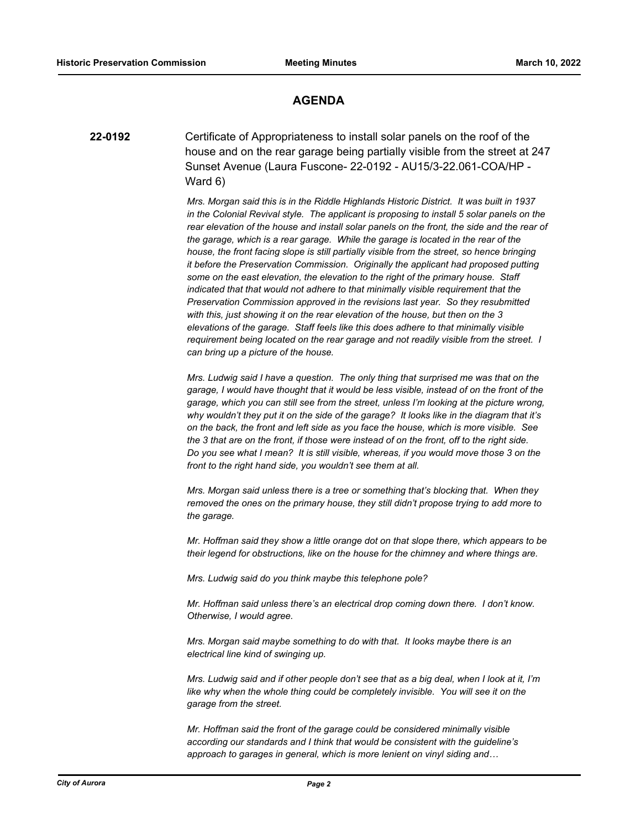#### **AGENDA**

**22-0192** Certificate of Appropriateness to install solar panels on the roof of the house and on the rear garage being partially visible from the street at 247 Sunset Avenue (Laura Fuscone- 22-0192 - AU15/3-22.061-COA/HP - Ward 6)

> *Mrs. Morgan said this is in the Riddle Highlands Historic District. It was built in 1937 in the Colonial Revival style. The applicant is proposing to install 5 solar panels on the rear elevation of the house and install solar panels on the front, the side and the rear of the garage, which is a rear garage. While the garage is located in the rear of the house, the front facing slope is still partially visible from the street, so hence bringing it before the Preservation Commission. Originally the applicant had proposed putting some on the east elevation, the elevation to the right of the primary house. Staff indicated that that would not adhere to that minimally visible requirement that the Preservation Commission approved in the revisions last year. So they resubmitted with this, just showing it on the rear elevation of the house, but then on the 3 elevations of the garage. Staff feels like this does adhere to that minimally visible requirement being located on the rear garage and not readily visible from the street. I can bring up a picture of the house.*

*Mrs. Ludwig said I have a question. The only thing that surprised me was that on the garage, I would have thought that it would be less visible, instead of on the front of the garage, which you can still see from the street, unless I'm looking at the picture wrong, why wouldn't they put it on the side of the garage? It looks like in the diagram that it's on the back, the front and left side as you face the house, which is more visible. See the 3 that are on the front, if those were instead of on the front, off to the right side. Do you see what I mean? It is still visible, whereas, if you would move those 3 on the front to the right hand side, you wouldn't see them at all.*

*Mrs. Morgan said unless there is a tree or something that's blocking that. When they removed the ones on the primary house, they still didn't propose trying to add more to the garage.*

*Mr. Hoffman said they show a little orange dot on that slope there, which appears to be their legend for obstructions, like on the house for the chimney and where things are.*

*Mrs. Ludwig said do you think maybe this telephone pole?*

*Mr. Hoffman said unless there's an electrical drop coming down there. I don't know. Otherwise, I would agree.*

*Mrs. Morgan said maybe something to do with that. It looks maybe there is an electrical line kind of swinging up.*

*Mrs. Ludwig said and if other people don't see that as a big deal, when I look at it, I'm like why when the whole thing could be completely invisible. You will see it on the garage from the street.*

*Mr. Hoffman said the front of the garage could be considered minimally visible according our standards and I think that would be consistent with the guideline's approach to garages in general, which is more lenient on vinyl siding and…*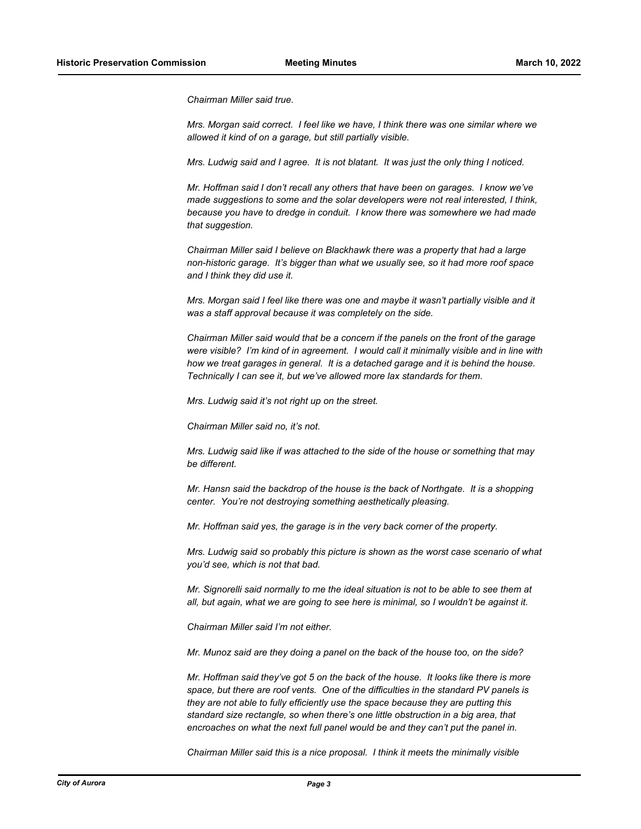*Chairman Miller said true.*

*Mrs. Morgan said correct. I feel like we have, I think there was one similar where we allowed it kind of on a garage, but still partially visible.*

*Mrs. Ludwig said and I agree. It is not blatant. It was just the only thing I noticed.*

*Mr. Hoffman said I don't recall any others that have been on garages. I know we've made suggestions to some and the solar developers were not real interested, I think, because you have to dredge in conduit. I know there was somewhere we had made that suggestion.*

*Chairman Miller said I believe on Blackhawk there was a property that had a large non-historic garage. It's bigger than what we usually see, so it had more roof space and I think they did use it.*

*Mrs. Morgan said I feel like there was one and maybe it wasn't partially visible and it was a staff approval because it was completely on the side.*

*Chairman Miller said would that be a concern if the panels on the front of the garage were visible? I'm kind of in agreement. I would call it minimally visible and in line with how we treat garages in general. It is a detached garage and it is behind the house. Technically I can see it, but we've allowed more lax standards for them.*

*Mrs. Ludwig said it's not right up on the street.*

*Chairman Miller said no, it's not.*

*Mrs. Ludwig said like if was attached to the side of the house or something that may be different.*

*Mr. Hansn said the backdrop of the house is the back of Northgate. It is a shopping center. You're not destroying something aesthetically pleasing.*

*Mr. Hoffman said yes, the garage is in the very back corner of the property.*

*Mrs. Ludwig said so probably this picture is shown as the worst case scenario of what you'd see, which is not that bad.*

*Mr. Signorelli said normally to me the ideal situation is not to be able to see them at all, but again, what we are going to see here is minimal, so I wouldn't be against it.*

*Chairman Miller said I'm not either.*

*Mr. Munoz said are they doing a panel on the back of the house too, on the side?*

*Mr. Hoffman said they've got 5 on the back of the house. It looks like there is more space, but there are roof vents. One of the difficulties in the standard PV panels is they are not able to fully efficiently use the space because they are putting this standard size rectangle, so when there's one little obstruction in a big area, that encroaches on what the next full panel would be and they can't put the panel in.*

*Chairman Miller said this is a nice proposal. I think it meets the minimally visible*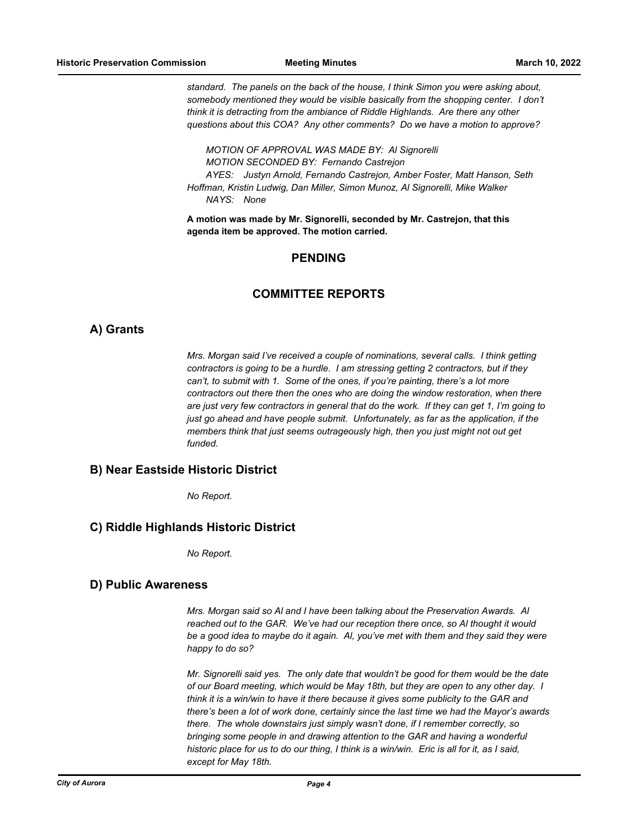*standard. The panels on the back of the house, I think Simon you were asking about,*  somebody mentioned they would be visible basically from the shopping center. I don't *think it is detracting from the ambiance of Riddle Highlands. Are there any other questions about this COA? Any other comments? Do we have a motion to approve?*

*MOTION OF APPROVAL WAS MADE BY: Al Signorelli MOTION SECONDED BY: Fernando Castrejon AYES: Justyn Arnold, Fernando Castrejon, Amber Foster, Matt Hanson, Seth Hoffman, Kristin Ludwig, Dan Miller, Simon Munoz, Al Signorelli, Mike Walker NAYS: None*

**A motion was made by Mr. Signorelli, seconded by Mr. Castrejon, that this agenda item be approved. The motion carried.**

#### **PENDING**

#### **COMMITTEE REPORTS**

#### **A) Grants**

*Mrs. Morgan said I've received a couple of nominations, several calls. I think getting contractors is going to be a hurdle. I am stressing getting 2 contractors, but if they can't, to submit with 1. Some of the ones, if you're painting, there's a lot more contractors out there then the ones who are doing the window restoration, when there are just very few contractors in general that do the work. If they can get 1, I'm going to just go ahead and have people submit. Unfortunately, as far as the application, if the members think that just seems outrageously high, then you just might not out get funded.*

#### **B) Near Eastside Historic District**

*No Report.*

#### **C) Riddle Highlands Historic District**

*No Report.*

#### **D) Public Awareness**

*Mrs. Morgan said so Al and I have been talking about the Preservation Awards. Al reached out to the GAR. We've had our reception there once, so Al thought it would be a good idea to maybe do it again. Al, you've met with them and they said they were happy to do so?*

*Mr. Signorelli said yes. The only date that wouldn't be good for them would be the date of our Board meeting, which would be May 18th, but they are open to any other day. I think it is a win/win to have it there because it gives some publicity to the GAR and there's been a lot of work done, certainly since the last time we had the Mayor's awards there. The whole downstairs just simply wasn't done, if I remember correctly, so bringing some people in and drawing attention to the GAR and having a wonderful historic place for us to do our thing, I think is a win/win. Eric is all for it, as I said, except for May 18th.*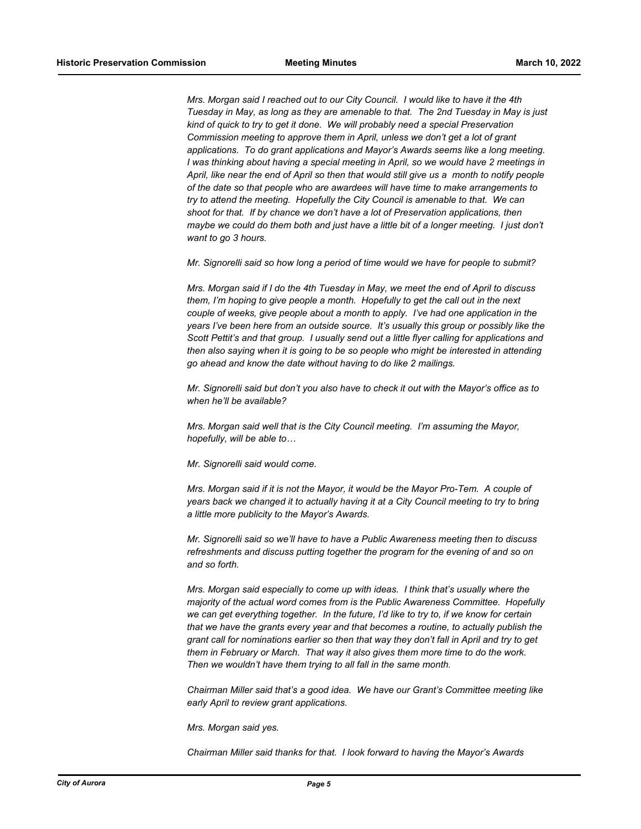*Mrs. Morgan said I reached out to our City Council. I would like to have it the 4th Tuesday in May, as long as they are amenable to that. The 2nd Tuesday in May is just kind of quick to try to get it done. We will probably need a special Preservation Commission meeting to approve them in April, unless we don't get a lot of grant applications. To do grant applications and Mayor's Awards seems like a long meeting. I was thinking about having a special meeting in April, so we would have 2 meetings in April, like near the end of April so then that would still give us a month to notify people of the date so that people who are awardees will have time to make arrangements to try to attend the meeting. Hopefully the City Council is amenable to that. We can shoot for that. If by chance we don't have a lot of Preservation applications, then maybe we could do them both and just have a little bit of a longer meeting. I just don't want to go 3 hours.*

*Mr. Signorelli said so how long a period of time would we have for people to submit?*

*Mrs. Morgan said if I do the 4th Tuesday in May, we meet the end of April to discuss them, I'm hoping to give people a month. Hopefully to get the call out in the next couple of weeks, give people about a month to apply. I've had one application in the years I've been here from an outside source. It's usually this group or possibly like the Scott Pettit's and that group. I usually send out a little flyer calling for applications and then also saying when it is going to be so people who might be interested in attending go ahead and know the date without having to do like 2 mailings.*

*Mr. Signorelli said but don't you also have to check it out with the Mayor's office as to when he'll be available?*

*Mrs. Morgan said well that is the City Council meeting. I'm assuming the Mayor, hopefully, will be able to…*

*Mr. Signorelli said would come.*

*Mrs. Morgan said if it is not the Mayor, it would be the Mayor Pro-Tem. A couple of years back we changed it to actually having it at a City Council meeting to try to bring a little more publicity to the Mayor's Awards.* 

*Mr. Signorelli said so we'll have to have a Public Awareness meeting then to discuss refreshments and discuss putting together the program for the evening of and so on and so forth.*

*Mrs. Morgan said especially to come up with ideas. I think that's usually where the majority of the actual word comes from is the Public Awareness Committee. Hopefully we can get everything together. In the future, I'd like to try to, if we know for certain that we have the grants every year and that becomes a routine, to actually publish the grant call for nominations earlier so then that way they don't fall in April and try to get them in February or March. That way it also gives them more time to do the work. Then we wouldn't have them trying to all fall in the same month.*

*Chairman Miller said that's a good idea. We have our Grant's Committee meeting like early April to review grant applications.*

*Mrs. Morgan said yes.*

*Chairman Miller said thanks for that. I look forward to having the Mayor's Awards*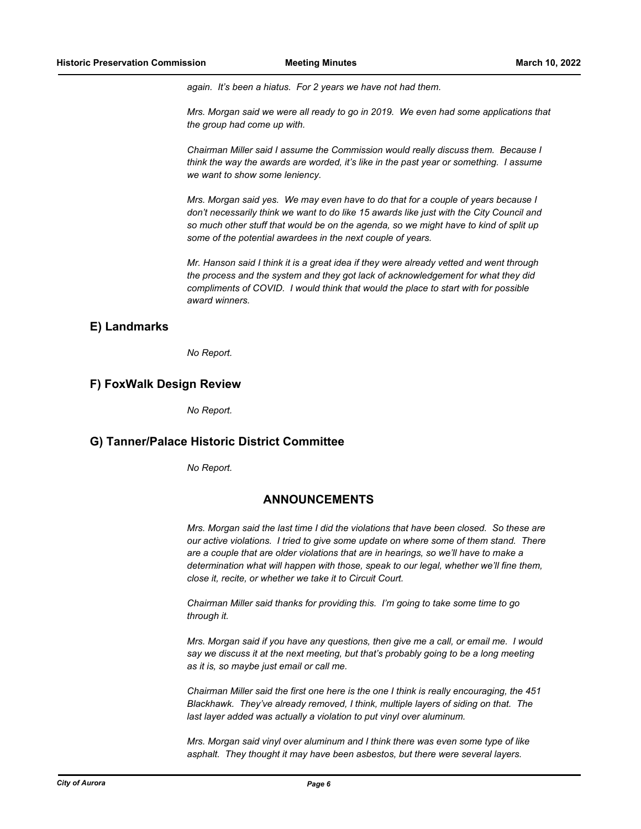*again. It's been a hiatus. For 2 years we have not had them.*

*Mrs. Morgan said we were all ready to go in 2019. We even had some applications that the group had come up with.*

*Chairman Miller said I assume the Commission would really discuss them. Because I think the way the awards are worded, it's like in the past year or something. I assume we want to show some leniency.*

*Mrs. Morgan said yes. We may even have to do that for a couple of years because I don't necessarily think we want to do like 15 awards like just with the City Council and so much other stuff that would be on the agenda, so we might have to kind of split up some of the potential awardees in the next couple of years.*

*Mr. Hanson said I think it is a great idea if they were already vetted and went through the process and the system and they got lack of acknowledgement for what they did compliments of COVID. I would think that would the place to start with for possible award winners.*

#### **E) Landmarks**

*No Report.*

#### **F) FoxWalk Design Review**

*No Report.*

#### **G) Tanner/Palace Historic District Committee**

*No Report.*

#### **ANNOUNCEMENTS**

*Mrs. Morgan said the last time I did the violations that have been closed. So these are our active violations. I tried to give some update on where some of them stand. There are a couple that are older violations that are in hearings, so we'll have to make a determination what will happen with those, speak to our legal, whether we'll fine them, close it, recite, or whether we take it to Circuit Court.*

*Chairman Miller said thanks for providing this. I'm going to take some time to go through it.*

*Mrs. Morgan said if you have any questions, then give me a call, or email me. I would say we discuss it at the next meeting, but that's probably going to be a long meeting as it is, so maybe just email or call me.*

*Chairman Miller said the first one here is the one I think is really encouraging, the 451 Blackhawk. They've already removed, I think, multiple layers of siding on that. The last layer added was actually a violation to put vinyl over aluminum.*

*Mrs. Morgan said vinyl over aluminum and I think there was even some type of like asphalt. They thought it may have been asbestos, but there were several layers.*